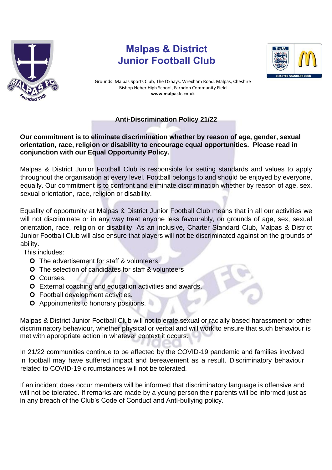

## **Malpas & District Junior Football Club**



Grounds: Malpas Sports Club, The Oxhays, Wrexham Road, Malpas, Cheshire Bishop Heber High School, Farndon Community Field **www.malpasfc.co.uk** 

## **Anti-Discrimination Policy 21/22**

## **Our commitment is to eliminate discrimination whether by reason of age, gender, sexual orientation, race, religion or disability to encourage equal opportunities. Please read in conjunction with our Equal Opportunity Policy.**

Malpas & District Junior Football Club is responsible for setting standards and values to apply throughout the organisation at every level. Football belongs to and should be enjoyed by everyone, equally. Our commitment is to confront and eliminate discrimination whether by reason of age, sex, sexual orientation, race, religion or disability.

Equality of opportunity at Malpas & District Junior Football Club means that in all our activities we will not discriminate or in any way treat anyone less favourably, on grounds of age, sex, sexual orientation, race, religion or disability. As an inclusive, Charter Standard Club, Malpas & District Junior Football Club will also ensure that players will not be discriminated against on the grounds of ability.

This includes:

- **O** The advertisement for staff & volunteers
- **O** The selection of candidates for staff & volunteers
- O Courses.
- **O** External coaching and education activities and awards.
- Football development activities.
- **O** Appointments to honorary positions.

Malpas & District Junior Football Club will not tolerate sexual or racially based harassment or other discriminatory behaviour, whether physical or verbal and will work to ensure that such behaviour is met with appropriate action in whatever context it occurs.

In 21/22 communities continue to be affected by the COVID-19 pandemic and families involved in football may have suffered impact and bereavement as a result. Discriminatory behaviour related to COVID-19 circumstances will not be tolerated.

If an incident does occur members will be informed that discriminatory language is offensive and will not be tolerated. If remarks are made by a young person their parents will be informed just as in any breach of the Club's Code of Conduct and Anti-bullying policy.